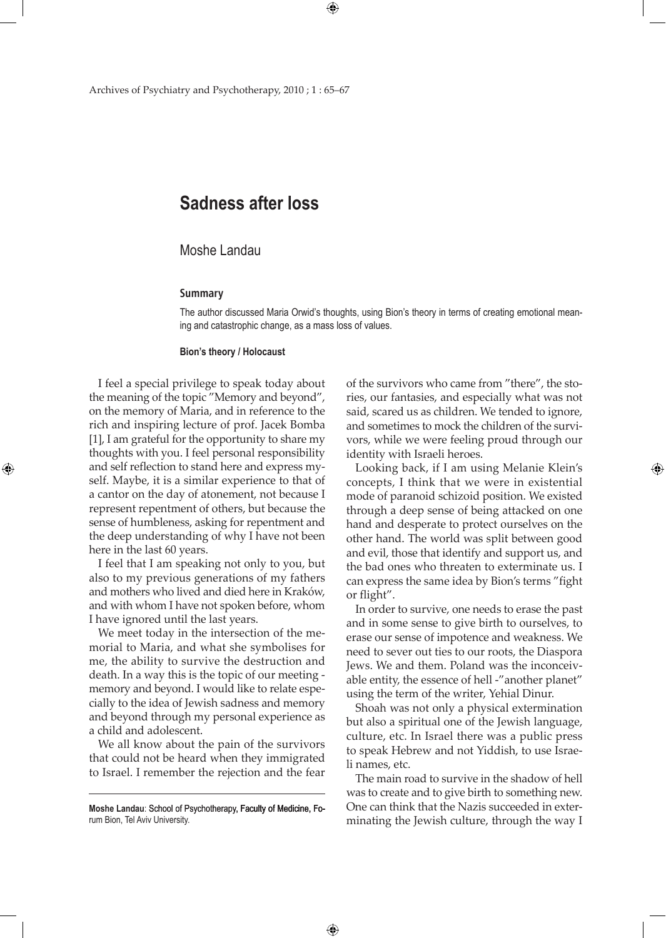# **Sadness after loss**

## Moshe Landau

#### **Summary**

The author discussed Maria Orwid's thoughts, using Bion's theory in terms of creating emotional meaning and catastrophic change, as a mass loss of values.

 $\bigoplus$ 

#### **Bion's theory / Holocaust**

I feel a special privilege to speak today about the meaning of the topic "Memory and beyond", on the memory of Maria, and in reference to the rich and inspiring lecture of prof. Jacek Bomba [1], I am grateful for the opportunity to share my thoughts with you. I feel personal responsibility and self reflection to stand here and express myself. Maybe, it is a similar experience to that of a cantor on the day of atonement, not because I represent repentment of others, but because the sense of humbleness, asking for repentment and the deep understanding of why I have not been here in the last 60 years.

⊕

I feel that I am speaking not only to you, but also to my previous generations of my fathers and mothers who lived and died here in Kraków, and with whom I have not spoken before, whom I have ignored until the last years.

We meet today in the intersection of the memorial to Maria, and what she symbolises for me, the ability to survive the destruction and death. In a way this is the topic of our meeting memory and beyond. I would like to relate especially to the idea of Jewish sadness and memory and beyond through my personal experience as a child and adolescent.

We all know about the pain of the survivors that could not be heard when they immigrated to Israel. I remember the rejection and the fear

**Moshe Landau**: School of Psychotherapy, Faculty of Medicine, Forum Bion, Tel Aviv University.

 $\bigoplus$ 

of the survivors who came from "there", the stories, our fantasies, and especially what was not said, scared us as children. We tended to ignore, and sometimes to mock the children of the survivors, while we were feeling proud through our identity with Israeli heroes.

Looking back, if I am using Melanie Klein's concepts, I think that we were in existential mode of paranoid schizoid position. We existed through a deep sense of being attacked on one hand and desperate to protect ourselves on the other hand. The world was split between good and evil, those that identify and support us, and the bad ones who threaten to exterminate us. I can express the same idea by Bion's terms "fight or flight".

In order to survive, one needs to erase the past and in some sense to give birth to ourselves, to erase our sense of impotence and weakness. We need to sever out ties to our roots, the Diaspora Jews. We and them. Poland was the inconceivable entity, the essence of hell -"another planet" using the term of the writer, Yehial Dinur.

Shoah was not only a physical extermination but also a spiritual one of the Jewish language, culture, etc. In Israel there was a public press to speak Hebrew and not Yiddish, to use Israeli names, etc.

The main road to survive in the shadow of hell was to create and to give birth to something new. One can think that the Nazis succeeded in exterminating the Jewish culture, through the way I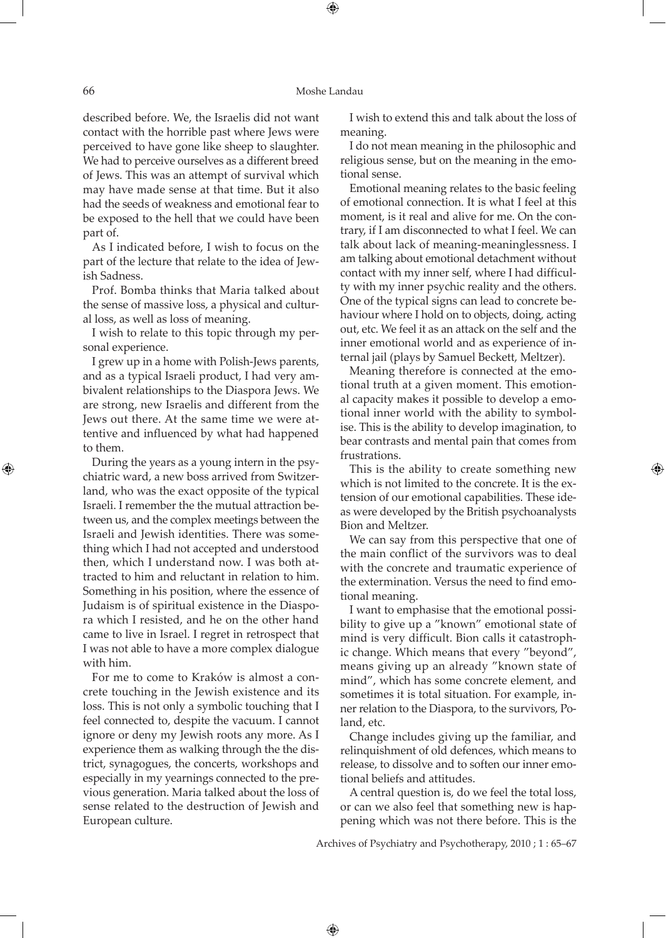### 66 Moshe Landau

described before. We, the Israelis did not want contact with the horrible past where Jews were perceived to have gone like sheep to slaughter. We had to perceive ourselves as a different breed of Jews. This was an attempt of survival which may have made sense at that time. But it also had the seeds of weakness and emotional fear to be exposed to the hell that we could have been part of.

As I indicated before, I wish to focus on the part of the lecture that relate to the idea of Jewish Sadness.

Prof. Bomba thinks that Maria talked about the sense of massive loss, a physical and cultural loss, as well as loss of meaning.

I wish to relate to this topic through my personal experience.

I grew up in a home with Polish-Jews parents, and as a typical Israeli product, I had very ambivalent relationships to the Diaspora Jews. We are strong, new Israelis and different from the Jews out there. At the same time we were attentive and influenced by what had happened to them.

During the years as a young intern in the psychiatric ward, a new boss arrived from Switzerland, who was the exact opposite of the typical Israeli. I remember the the mutual attraction between us, and the complex meetings between the Israeli and Jewish identities. There was something which I had not accepted and understood then, which I understand now. I was both attracted to him and reluctant in relation to him. Something in his position, where the essence of Judaism is of spiritual existence in the Diaspora which I resisted, and he on the other hand came to live in Israel. I regret in retrospect that I was not able to have a more complex dialogue with him.

For me to come to Kraków is almost a concrete touching in the Jewish existence and its loss. This is not only a symbolic touching that I feel connected to, despite the vacuum. I cannot ignore or deny my Jewish roots any more. As I experience them as walking through the the district, synagogues, the concerts, workshops and especially in my yearnings connected to the previous generation. Maria talked about the loss of sense related to the destruction of Jewish and European culture.

I wish to extend this and talk about the loss of meaning.

I do not mean meaning in the philosophic and religious sense, but on the meaning in the emotional sense.

Emotional meaning relates to the basic feeling of emotional connection. It is what I feel at this moment, is it real and alive for me. On the contrary, if I am disconnected to what I feel. We can talk about lack of meaning-meaninglessness. I am talking about emotional detachment without contact with my inner self, where I had difficulty with my inner psychic reality and the others. One of the typical signs can lead to concrete behaviour where I hold on to objects, doing, acting out, etc. We feel it as an attack on the self and the inner emotional world and as experience of internal jail (plays by Samuel Beckett, Meltzer).

Meaning therefore is connected at the emotional truth at a given moment. This emotional capacity makes it possible to develop a emotional inner world with the ability to symbolise. This is the ability to develop imagination, to bear contrasts and mental pain that comes from frustrations.

This is the ability to create something new which is not limited to the concrete. It is the extension of our emotional capabilities. These ideas were developed by the British psychoanalysts Bion and Meltzer.

We can say from this perspective that one of the main conflict of the survivors was to deal with the concrete and traumatic experience of the extermination. Versus the need to find emotional meaning.

I want to emphasise that the emotional possibility to give up a "known" emotional state of mind is very difficult. Bion calls it catastrophic change. Which means that every "beyond", means giving up an already "known state of mind", which has some concrete element, and sometimes it is total situation. For example, inner relation to the Diaspora, to the survivors, Poland, etc.

Change includes giving up the familiar, and relinquishment of old defences, which means to release, to dissolve and to soften our inner emotional beliefs and attitudes.

A central question is, do we feel the total loss, or can we also feel that something new is happening which was not there before. This is the

Archives of Psychiatry and Psychotherapy, 2010 ; 1 : 65–67

 $\bigoplus$ 

⊕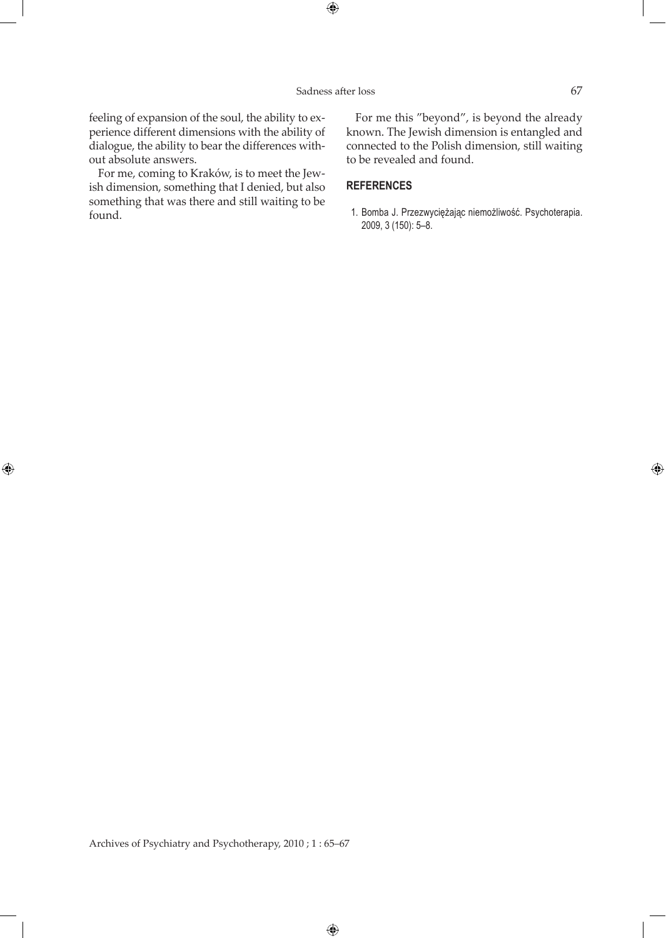$\bigoplus$ 

feeling of expansion of the soul, the ability to experience different dimensions with the ability of dialogue, the ability to bear the differences without absolute answers.

For me, coming to Kraków, is to meet the Jewish dimension, something that I denied, but also something that was there and still waiting to be found.

 $\bigoplus$ 

For me this "beyond", is beyond the already known. The Jewish dimension is entangled and connected to the Polish dimension, still waiting to be revealed and found.

## **REFERENCES**

 1. Bomba J. Przezwyciężając niemożliwość. Psychoterapia. 2009, 3 (150): 5–8.

 $\bigoplus$ 

 $\bigoplus$